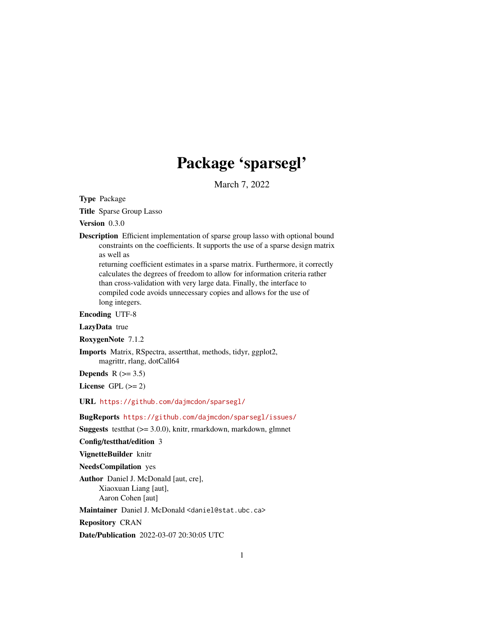# Package 'sparsegl'

March 7, 2022

<span id="page-0-0"></span>Type Package

Title Sparse Group Lasso

Version 0.3.0

Description Efficient implementation of sparse group lasso with optional bound constraints on the coefficients. It supports the use of a sparse design matrix as well as

returning coefficient estimates in a sparse matrix. Furthermore, it correctly calculates the degrees of freedom to allow for information criteria rather than cross-validation with very large data. Finally, the interface to compiled code avoids unnecessary copies and allows for the use of long integers.

Encoding UTF-8

LazyData true

RoxygenNote 7.1.2

Imports Matrix, RSpectra, assertthat, methods, tidyr, ggplot2, magrittr, rlang, dotCall64

Depends  $R$  ( $>= 3.5$ )

License GPL  $(>= 2)$ 

URL <https://github.com/dajmcdon/sparsegl/>

BugReports <https://github.com/dajmcdon/sparsegl/issues/>

Suggests testthat (>= 3.0.0), knitr, rmarkdown, markdown, glmnet

Config/testthat/edition 3

VignetteBuilder knitr

NeedsCompilation yes

Author Daniel J. McDonald [aut, cre], Xiaoxuan Liang [aut], Aaron Cohen [aut]

Maintainer Daniel J. McDonald <daniel@stat.ubc.ca>

Repository CRAN

Date/Publication 2022-03-07 20:30:05 UTC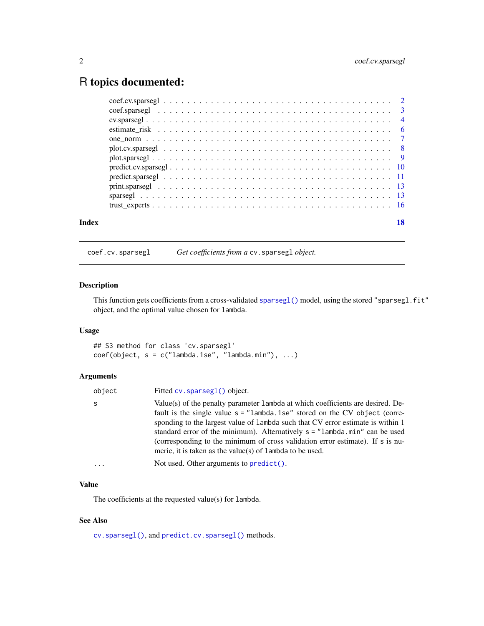# <span id="page-1-0"></span>R topics documented:

|       | $coef.cv. sparsegl \ldots \ldots \ldots \ldots \ldots \ldots \ldots \ldots \ldots \ldots \ldots \ldots \ldots 2$ |    |
|-------|------------------------------------------------------------------------------------------------------------------|----|
|       |                                                                                                                  |    |
|       |                                                                                                                  |    |
|       | estimate risk $\ldots \ldots \ldots \ldots \ldots \ldots \ldots \ldots \ldots \ldots \ldots \ldots \ldots$       |    |
|       |                                                                                                                  |    |
|       |                                                                                                                  |    |
|       |                                                                                                                  |    |
|       |                                                                                                                  |    |
|       |                                                                                                                  |    |
|       |                                                                                                                  |    |
|       |                                                                                                                  |    |
|       |                                                                                                                  |    |
| Index |                                                                                                                  | 18 |

<span id="page-1-1"></span>coef.cv.sparsegl *Get coefficients from a* cv.sparsegl *object.*

#### Description

This function gets coefficients from a cross-validated [sparsegl\(\)](#page-12-1) model, using the stored "sparsegl.fit" object, and the optimal value chosen for lambda.

# Usage

## S3 method for class 'cv.sparsegl'  $coef(object, s = c("lambda.1se", "lambda.mbda.min"), ...)$ 

# Arguments

| object | Fitted cv. sparseg1() object.                                                                                                                                                                                                                                                                                                                                                                                                                                                          |
|--------|----------------------------------------------------------------------------------------------------------------------------------------------------------------------------------------------------------------------------------------------------------------------------------------------------------------------------------------------------------------------------------------------------------------------------------------------------------------------------------------|
| s      | Value(s) of the penalty parameter 1 ambda at which coefficients are desired. De-<br>fault is the single value $s =$ "lambda. 1se" stored on the CV object (corre-<br>sponding to the largest value of 1 ambda such that CV error estimate is within 1<br>standard error of the minimum). Alternatively $s = "lambda.min"$ can be used<br>(corresponding to the minimum of cross validation error estimate). If s is nu-<br>meric, it is taken as the value(s) of $l$ ambda to be used. |
| .      | Not used. Other arguments to $predict()$ .                                                                                                                                                                                                                                                                                                                                                                                                                                             |
|        |                                                                                                                                                                                                                                                                                                                                                                                                                                                                                        |

# Value

The coefficients at the requested value(s) for lambda.

# See Also

[cv.sparsegl\(\)](#page-3-1), and [predict.cv.sparsegl\(\)](#page-9-1) methods.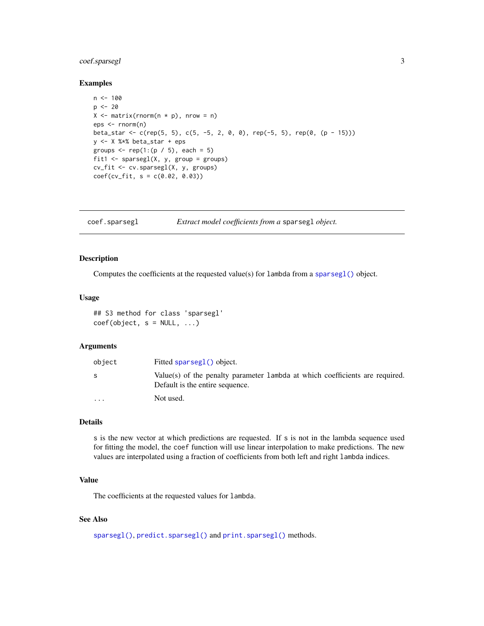# <span id="page-2-0"></span>coef.sparsegl 3

#### Examples

```
n < -100p \le -20X \leq - matrix(rnorm(n * p), nrow = n)
eps <- rnorm(n)
beta_star <- c(rep(5, 5), c(5, -5, 2, 0, 0), rep(-5, 5), rep(0, (p - 15)))
y <- X %*% beta_star + eps
groups \leq rep(1:(p / 5), each = 5)
fit1 <- sparsegl(X, y, group = groups)
cv_fit <- cv.sparsegl(X, y, groups)
coef(cv_fit, s = c(0.02, 0.03))
```
<span id="page-2-1"></span>coef.sparsegl *Extract model coefficients from a* sparsegl *object.*

#### Description

Computes the coefficients at the requested value(s) for lambda from a [sparsegl\(\)](#page-12-1) object.

#### Usage

## S3 method for class 'sparsegl'  $coef(object, s = NULL, ...)$ 

#### Arguments

| object                  | Fitted sparsegl() object.                                                                                       |
|-------------------------|-----------------------------------------------------------------------------------------------------------------|
|                         | Value(s) of the penalty parameter lambda at which coefficients are required.<br>Default is the entire sequence. |
| $\cdot$ $\cdot$ $\cdot$ | Not used.                                                                                                       |

# Details

s is the new vector at which predictions are requested. If s is not in the lambda sequence used for fitting the model, the coef function will use linear interpolation to make predictions. The new values are interpolated using a fraction of coefficients from both left and right lambda indices.

#### Value

The coefficients at the requested values for lambda.

# See Also

[sparsegl\(\)](#page-12-1), [predict.sparsegl\(\)](#page-10-1) and [print.sparsegl\(\)](#page-12-2) methods.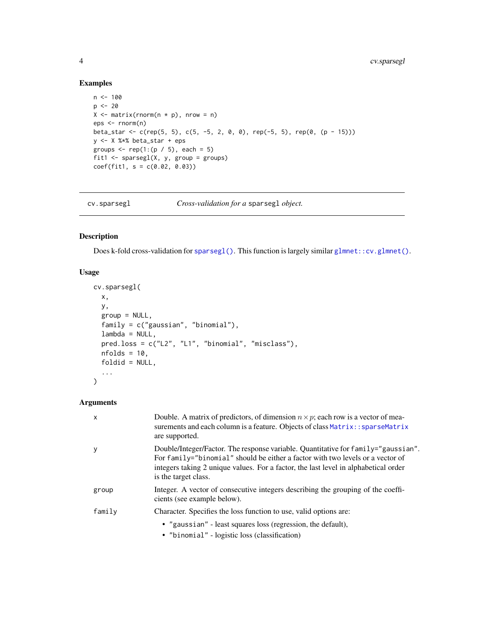# Examples

```
n < -100p \le -20X \leftarrow matrix(rnorm(n * p), nrow = n)eps <- rnorm(n)
beta_star <- c(rep(5, 5), c(5, -5, 2, 0, 0), rep(-5, 5), rep(0, (p - 15)))
y <- X %*% beta_star + eps
groups \leq rep(1:(p / 5), each = 5)
fit1 \leq sparsegl(X, y, group = groups)
coef(fit1, s = c(0.02, 0.03))
```
<span id="page-3-1"></span>cv.sparsegl *Cross-validation for a* sparsegl *object.*

# Description

Does k-fold cross-validation for [sparsegl\(\)](#page-12-1). This function is largely similar [glmnet::cv.glmnet\(\)](#page-0-0).

# Usage

```
cv.sparsegl(
 x,
 y,
 group = NULL,family = c("gaussian", "binomial"),
 lambda = NULL,
 pred.loss = c("L2", "L1", "binomial", "misclass"),
 nfolds = 10,
  foldid = NULL,
  ...
\mathcal{L}
```
# Arguments

| $\mathsf{x}$ | Double. A matrix of predictors, of dimension $n \times p$ ; each row is a vector of mea-<br>surements and each column is a feature. Objects of class Matrix: : sparseMatrix<br>are supported.                                                                                      |
|--------------|------------------------------------------------------------------------------------------------------------------------------------------------------------------------------------------------------------------------------------------------------------------------------------|
| y            | Double/Integer/Factor. The response variable. Quantitative for family="gaussian".<br>For family="binomial" should be either a factor with two levels or a vector of<br>integers taking 2 unique values. For a factor, the last level in alphabetical order<br>is the target class. |
| group        | Integer. A vector of consecutive integers describing the grouping of the coeffi-<br>cients (see example below).                                                                                                                                                                    |
| family       | Character. Specifies the loss function to use, valid options are:                                                                                                                                                                                                                  |
|              | • "gaussian" - least squares loss (regression, the default),<br>• "binomial" - logistic loss (classification)                                                                                                                                                                      |

<span id="page-3-0"></span>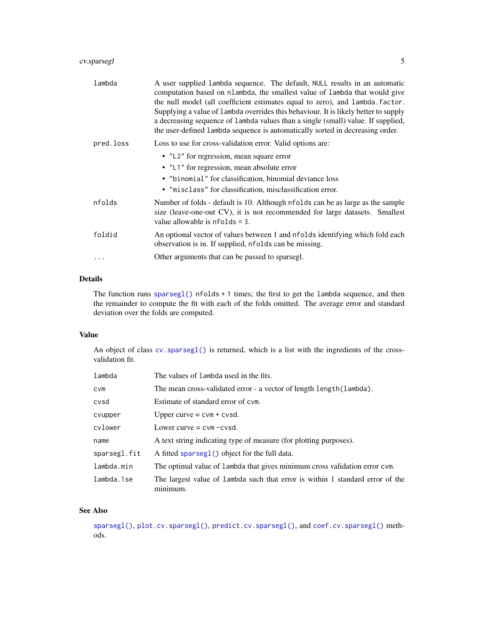# <span id="page-4-0"></span>cv.sparsegl 5

| lambda    | A user supplied lambda sequence. The default, NULL results in an automatic<br>computation based on nlambda, the smallest value of lambda that would give<br>the null model (all coefficient estimates equal to zero), and lambda. factor.<br>Supplying a value of lambda overrides this behaviour. It is likely better to supply<br>a decreasing sequence of lambda values than a single (small) value. If supplied,<br>the user-defined lambda sequence is automatically sorted in decreasing order. |
|-----------|-------------------------------------------------------------------------------------------------------------------------------------------------------------------------------------------------------------------------------------------------------------------------------------------------------------------------------------------------------------------------------------------------------------------------------------------------------------------------------------------------------|
| pred.loss | Loss to use for cross-validation error. Valid options are:                                                                                                                                                                                                                                                                                                                                                                                                                                            |
|           | • "L2" for regression, mean square error<br>• "L1" for regression, mean absolute error<br>• "binomial" for classification, binomial deviance loss<br>• "misclass" for classification, misclassification error.                                                                                                                                                                                                                                                                                        |
| nfolds    | Number of folds - default is 10. Although nfolds can be as large as the sample<br>size (leave-one-out CV), it is not recommended for large datasets. Smallest<br>value allowable is $nfolds = 3$ .                                                                                                                                                                                                                                                                                                    |
| foldid    | An optional vector of values between 1 and nfolds identifying which fold each<br>observation is in. If supplied, nfolds can be missing.                                                                                                                                                                                                                                                                                                                                                               |
|           | Other arguments that can be passed to sparsegl.                                                                                                                                                                                                                                                                                                                                                                                                                                                       |

# Details

The function runs [sparsegl\(\)](#page-12-1) nfolds + 1 times; the first to get the lambda sequence, and then the remainder to compute the fit with each of the folds omitted. The average error and standard deviation over the folds are computed.

# Value

An object of class cv. sparsegl() is returned, which is a list with the ingredients of the crossvalidation fit.

| lambda       | The values of lambda used in the fits.                                                    |
|--------------|-------------------------------------------------------------------------------------------|
| <b>CVM</b>   | The mean cross-validated error - a vector of length length (lambda).                      |
| cvsd         | Estimate of standard error of cym.                                                        |
| cvupper      | Upper curve $=$ cvm $+$ cvsd.                                                             |
| cylower      | Lower curve = $cvm - cvsd$ .                                                              |
| name         | A text string indicating type of measure (for plotting purposes).                         |
| sparsegl.fit | A fitted sparseg1() object for the full data.                                             |
| lambda.min   | The optimal value of lambda that gives minimum cross validation error cvm.                |
| lambda.1se   | The largest value of lambda such that error is within 1 standard error of the<br>mınımum. |

#### See Also

[sparsegl\(\)](#page-12-1), [plot.cv.sparsegl\(\)](#page-7-1), [predict.cv.sparsegl\(\)](#page-9-1), and [coef.cv.sparsegl\(\)](#page-1-1) methods.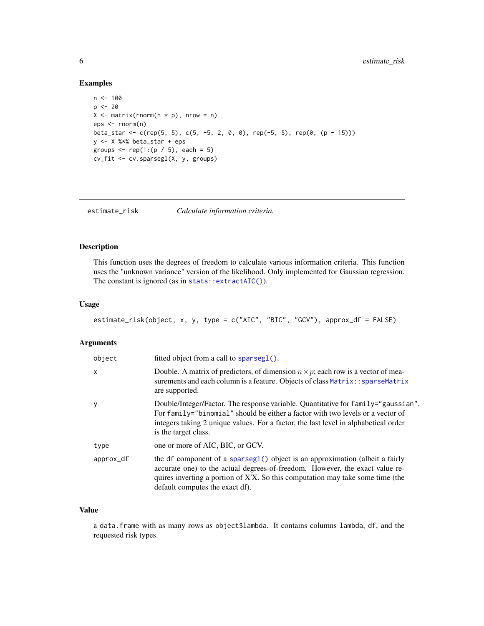#### Examples

```
n < -100p \le -20X \leq - matrix(rnorm(n * p), nrow = n)
eps <- rnorm(n)
beta_star <- c(rep(5, 5), c(5, -5, 2, 0, 0), rep(-5, 5), rep(0, (p - 15)))
y <- X %*% beta_star + eps
groups \leq rep(1:(p / 5), each = 5)
cv_fit <- cv.sparsegl(X, y, groups)
```
estimate\_risk *Calculate information criteria.*

# Description

This function uses the degrees of freedom to calculate various information criteria. This function uses the "unknown variance" version of the likelihood. Only implemented for Gaussian regression. The constant is ignored (as in [stats::extractAIC\(\)](#page-0-0)).

# Usage

```
estimate_risk(object, x, y, type = c("AIC", "BIC", "GCV"), approx_df = FALSE)
```
#### Arguments

| object    | fitted object from a call to $sprseg($ ).                                                                                                                                                                                                                                          |
|-----------|------------------------------------------------------------------------------------------------------------------------------------------------------------------------------------------------------------------------------------------------------------------------------------|
| X         | Double. A matrix of predictors, of dimension $n \times p$ ; each row is a vector of mea-<br>surements and each column is a feature. Objects of class Matrix: : sparseMatrix<br>are supported.                                                                                      |
| y         | Double/Integer/Factor. The response variable. Quantitative for family="gaussian".<br>For family="binomial" should be either a factor with two levels or a vector of<br>integers taking 2 unique values. For a factor, the last level in alphabetical order<br>is the target class. |
| type      | one or more of AIC, BIC, or GCV.                                                                                                                                                                                                                                                   |
| approx_df | the df component of a sparseg1() object is an approximation (albeit a fairly<br>accurate one) to the actual degrees-of-freedom. However, the exact value re-<br>quires inverting a portion of X'X. So this computation may take some time (the<br>default computes the exact df).  |

## Value

a data.frame with as many rows as object\$lambda. It contains columns lambda, df, and the requested risk types.

<span id="page-5-0"></span>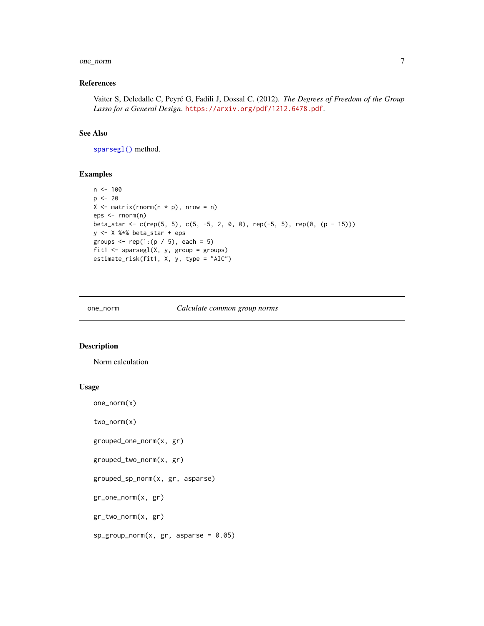#### <span id="page-6-0"></span>one\_norm 7

# References

Vaiter S, Deledalle C, Peyré G, Fadili J, Dossal C. (2012). *The Degrees of Freedom of the Group Lasso for a General Design*. <https://arxiv.org/pdf/1212.6478.pdf>.

#### See Also

[sparsegl\(\)](#page-12-1) method.

# Examples

```
n < -100p \le -20X \leq - matrix(rnorm(n * p), nrow = n)
eps <- rnorm(n)
beta_star <- c(rep(5, 5), c(5, -5, 2, 0, 0), rep(-5, 5), rep(0, (p - 15)))
y <- X %*% beta_star + eps
groups \leq rep(1:(p / 5), each = 5)
fit1 \leq sparsegl(X, y, group = groups)
estimate_risk(fit1, X, y, type = "AIC")
```
#### one\_norm *Calculate common group norms*

#### Description

Norm calculation

# Usage

```
one_norm(x)
```
two\_norm(x)

grouped\_one\_norm(x, gr)

grouped\_two\_norm(x, gr)

grouped\_sp\_norm(x, gr, asparse)

gr\_one\_norm(x, gr)

gr\_two\_norm(x, gr)

 $sp\_group\_norm(x, gr, asparse = 0.05)$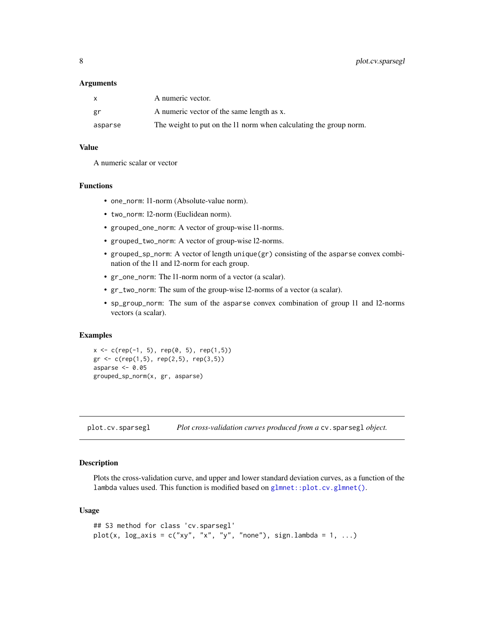#### <span id="page-7-0"></span>**Arguments**

| X       | A numeric vector.                                                 |
|---------|-------------------------------------------------------------------|
| gr      | A numeric vector of the same length as x.                         |
| asparse | The weight to put on the 11 norm when calculating the group norm. |

# Value

A numeric scalar or vector

#### Functions

- one\_norm: l1-norm (Absolute-value norm).
- two\_norm: l2-norm (Euclidean norm).
- grouped\_one\_norm: A vector of group-wise l1-norms.
- grouped\_two\_norm: A vector of group-wise l2-norms.
- grouped\_sp\_norm: A vector of length unique(gr) consisting of the asparse convex combination of the l1 and l2-norm for each group.
- gr\_one\_norm: The l1-norm norm of a vector (a scalar).
- gr\_two\_norm: The sum of the group-wise l2-norms of a vector (a scalar).
- sp\_group\_norm: The sum of the asparse convex combination of group l1 and l2-norms vectors (a scalar).

#### Examples

```
x \leq c (rep(-1, 5), rep(0, 5), rep(1,5))
gr < -c(rep(1,5), rep(2,5), rep(3,5))asparse <-0.05grouped_sp_norm(x, gr, asparse)
```
<span id="page-7-1"></span>plot.cv.sparsegl *Plot cross-validation curves produced from a* cv.sparsegl *object.*

#### Description

Plots the cross-validation curve, and upper and lower standard deviation curves, as a function of the lambda values used. This function is modified based on [glmnet::plot.cv.glmnet\(\)](#page-0-0).

#### Usage

```
## S3 method for class 'cv.sparsegl'
plot(x, \log_2axis = c("xy", "x", "y", "none"), sign.lambda = 1, ...)
```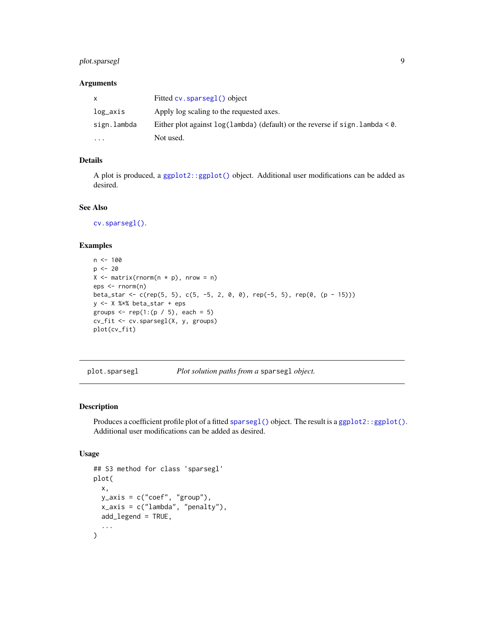# <span id="page-8-0"></span>plot.sparsegl 9

# Arguments

| X           | Fitted $cv$ . sparsegl() object                                                          |
|-------------|------------------------------------------------------------------------------------------|
| log_axis    | Apply log scaling to the requested axes.                                                 |
| sign.lambda | Either plot against $log(1)$ ambda (default) or the reverse if sign. lambda $< \theta$ . |
| $\ddotsc$   | Not used.                                                                                |

# Details

A plot is produced, a [ggplot2::ggplot\(\)](#page-0-0) object. Additional user modifications can be added as desired.

# See Also

[cv.sparsegl\(\)](#page-3-1).

# Examples

```
n < - 100p \le -20X \leq - matrix(rnorm(n * p), nrow = n)
eps <- rnorm(n)
beta_star <- c(rep(5, 5), c(5, -5, 2, 0, 0), rep(-5, 5), rep(0, (p - 15)))
y <- X %*% beta_star + eps
groups \leq rep(1:(p / 5), each = 5)
cv_fit <- cv.sparsegl(X, y, groups)
plot(cv_fit)
```
<span id="page-8-1"></span>plot.sparsegl *Plot solution paths from a* sparsegl *object.*

# Description

Produces a coefficient profile plot of a fitted [sparsegl\(\)](#page-12-1) object. The result is a [ggplot2::ggplot\(\)](#page-0-0). Additional user modifications can be added as desired.

# Usage

```
## S3 method for class 'sparsegl'
plot(
  x,
 y_axis = c("coef", "group"),
  x_axis = c("lambda", "penalty"),add_legend = TRUE,
  ...
\mathcal{E}
```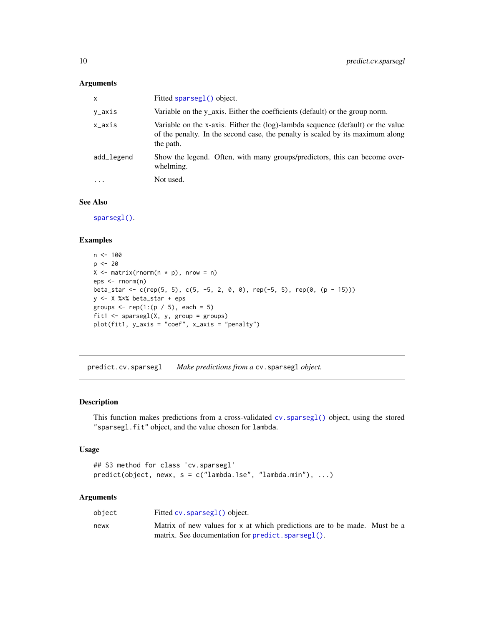#### <span id="page-9-0"></span>Arguments

| x          | Fitted sparseg1() object.                                                                                                                                                      |
|------------|--------------------------------------------------------------------------------------------------------------------------------------------------------------------------------|
| y_axis     | Variable on the y_axis. Either the coefficients (default) or the group norm.                                                                                                   |
| x_axis     | Variable on the x-axis. Either the (log)-lambda sequence (default) or the value<br>of the penalty. In the second case, the penalty is scaled by its maximum along<br>the path. |
| add_legend | Show the legend. Often, with many groups/predictors, this can become over-<br>whelming.                                                                                        |
| $\ddotsc$  | Not used.                                                                                                                                                                      |

#### See Also

[sparsegl\(\)](#page-12-1).

# Examples

```
n < - 100p \le -20X \leq - matrix(rnorm(n * p), nrow = n)
eps <- rnorm(n)
beta_star <- c(rep(5, 5), c(5, -5, 2, 0, 0), rep(-5, 5), rep(0, (p - 15)))
y <- X %*% beta_star + eps
groups \leq rep(1:(p / 5), each = 5)
fit1 <- sparsegl(X, y, group = groups)
plot(fit1, y_axis = "coef", x_axis = "penalty")
```
<span id="page-9-1"></span>predict.cv.sparsegl *Make predictions from a* cv.sparsegl *object.*

#### Description

This function makes predictions from a cross-validated [cv.sparsegl\(\)](#page-3-1) object, using the stored "sparsegl.fit" object, and the value chosen for lambda.

#### Usage

```
## S3 method for class 'cv.sparsegl'
predict(object, newx, s = c("lambda.1se", "lambda.min"), ...)
```
# Arguments

| object | Fitted cv. sparseg1() object.                                             |  |
|--------|---------------------------------------------------------------------------|--|
| newx   | Matrix of new values for x at which predictions are to be made. Must be a |  |
|        | matrix. See documentation for predict. sparsegl().                        |  |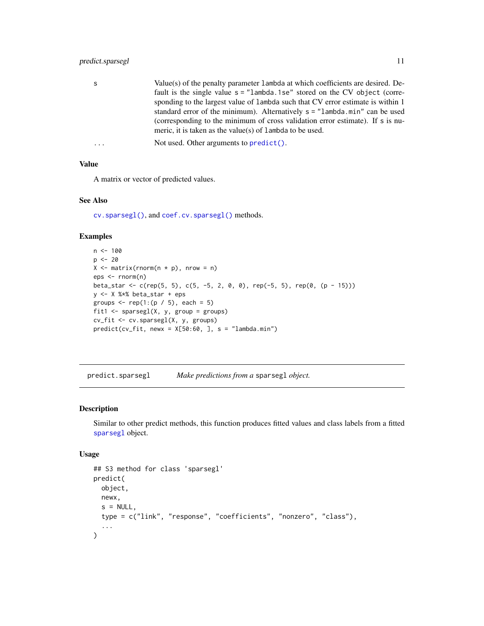# <span id="page-10-0"></span>predict.sparsegl 11

| - S | Value(s) of the penalty parameter 1 ambda at which coefficients are desired. De- |
|-----|----------------------------------------------------------------------------------|
|     | fault is the single value $s =$ "lambda. 1se" stored on the CV object (corre-    |
|     | sponding to the largest value of 1 ambda such that CV error estimate is within 1 |
|     | standard error of the minimum). Alternatively $s = "lambda.min"$ can be used     |
|     | (corresponding to the minimum of cross validation error estimate). If s is nu-   |
|     | meric, it is taken as the value(s) of $l$ ambda to be used.                      |
|     |                                                                                  |

```
... Not used. Other arguments to predict().
```
#### Value

A matrix or vector of predicted values.

#### See Also

[cv.sparsegl\(\)](#page-3-1), and [coef.cv.sparsegl\(\)](#page-1-1) methods.

#### Examples

```
n < -100p <- 20
X \leq - matrix(rnorm(n * p), nrow = n)
eps <- rnorm(n)
beta_star <- c(rep(5, 5), c(5, -5, 2, 0, 0), rep(-5, 5), rep(0, (p - 15)))
y <- X %*% beta_star + eps
groups \leq rep(1:(p / 5), each = 5)
fit1 \leq sparsegl(X, y, group = groups)
cv_fit <- cv.sparsegl(X, y, groups)
predict(cv_fit, newx = X[50:60, ], s = "lambda.min")
```
<span id="page-10-1"></span>predict.sparsegl *Make predictions from a* sparsegl *object.*

# Description

Similar to other predict methods, this function produces fitted values and class labels from a fitted [sparsegl](#page-12-1) object.

#### Usage

```
## S3 method for class 'sparsegl'
predict(
 object,
 newx,
  s = NULL,
  type = c("link", "response", "coefficients", "nonzero", "class"),
  ...
\mathcal{E}
```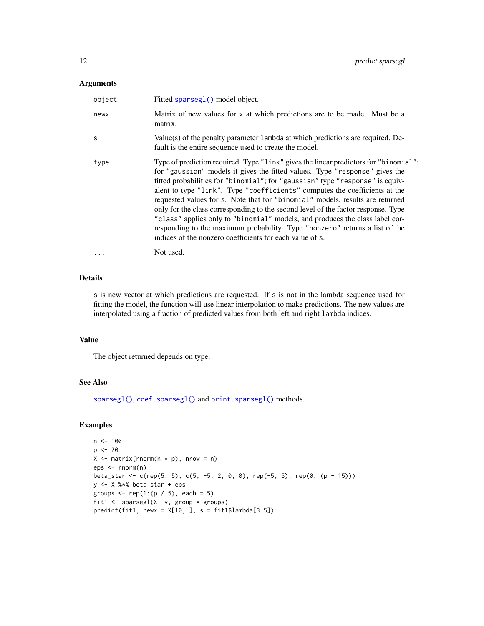#### <span id="page-11-0"></span>Arguments

| object   | Fitted sparseg1() model object.                                                                                                                                                                                                                                                                                                                                                                                                                                                                                                                                                                                                                                                                                                     |
|----------|-------------------------------------------------------------------------------------------------------------------------------------------------------------------------------------------------------------------------------------------------------------------------------------------------------------------------------------------------------------------------------------------------------------------------------------------------------------------------------------------------------------------------------------------------------------------------------------------------------------------------------------------------------------------------------------------------------------------------------------|
| newx     | Matrix of new values for x at which predictions are to be made. Must be a<br>matrix.                                                                                                                                                                                                                                                                                                                                                                                                                                                                                                                                                                                                                                                |
| S        | Value(s) of the penalty parameter 1 ambda at which predictions are required. De-<br>fault is the entire sequence used to create the model.                                                                                                                                                                                                                                                                                                                                                                                                                                                                                                                                                                                          |
| type     | Type of prediction required. Type "link" gives the linear predictors for "binomial";<br>for "gaussian" models it gives the fitted values. Type "response" gives the<br>fitted probabilities for "binomial"; for "gaussian" type "response" is equiv-<br>alent to type "link". Type "coefficients" computes the coefficients at the<br>requested values for s. Note that for "binomial" models, results are returned<br>only for the class corresponding to the second level of the factor response. Type<br>"class" applies only to "binomial" models, and produces the class label cor-<br>responding to the maximum probability. Type "nonzero" returns a list of the<br>indices of the nonzero coefficients for each value of s. |
| $\cdots$ | Not used.                                                                                                                                                                                                                                                                                                                                                                                                                                                                                                                                                                                                                                                                                                                           |

#### Details

s is new vector at which predictions are requested. If s is not in the lambda sequence used for fitting the model, the function will use linear interpolation to make predictions. The new values are interpolated using a fraction of predicted values from both left and right lambda indices.

#### Value

The object returned depends on type.

# See Also

[sparsegl\(\)](#page-12-1), [coef.sparsegl\(\)](#page-2-1) and [print.sparsegl\(\)](#page-12-2) methods.

# Examples

```
n < - 100p \le -20X \leq - matrix(rnorm(n * p), nrow = n)
eps <- rnorm(n)
beta_star <- c(rep(5, 5), c(5, -5, 2, 0, 0), rep(-5, 5), rep(0, (p - 15)))
y <- X %*% beta_star + eps
groups \leq rep(1:(p / 5), each = 5)
fit1 <- sparsegl(X, y, group = groups)predict(fit1, newx = X[10, ], s = fit1$landa[3:5])
```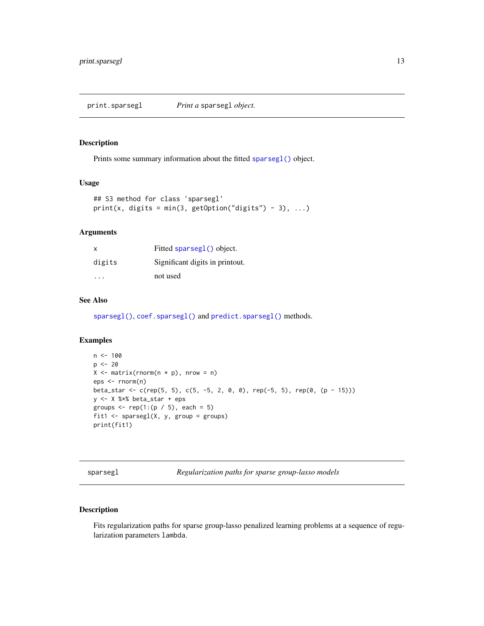<span id="page-12-2"></span><span id="page-12-0"></span>print.sparsegl *Print a* sparsegl *object.*

# Description

Prints some summary information about the fitted [sparsegl\(\)](#page-12-1) object.

#### Usage

```
## S3 method for class 'sparsegl'
print(x, digits = min(3, getOption("digits") - 3), ...)
```
# Arguments

| $\times$ | Fitted sparseg1() object.       |
|----------|---------------------------------|
| digits   | Significant digits in printout. |
| .        | not used                        |

# See Also

[sparsegl\(\)](#page-12-1), [coef.sparsegl\(\)](#page-2-1) and [predict.sparsegl\(\)](#page-10-1) methods.

#### Examples

```
n < - 100p \le -20X \leftarrow matrix(rnorm(n * p), nrow = n)eps <- rnorm(n)
beta_star <- c(rep(5, 5), c(5, -5, 2, 0, 0), rep(-5, 5), rep(0, (p - 15)))
y <- X %*% beta_star + eps
groups \leq rep(1:(p / 5), each = 5)
fit1 <- sparsegl(X, y, group = groups)
print(fit1)
```
<span id="page-12-1"></span>sparsegl *Regularization paths for sparse group-lasso models*

# Description

Fits regularization paths for sparse group-lasso penalized learning problems at a sequence of regularization parameters lambda.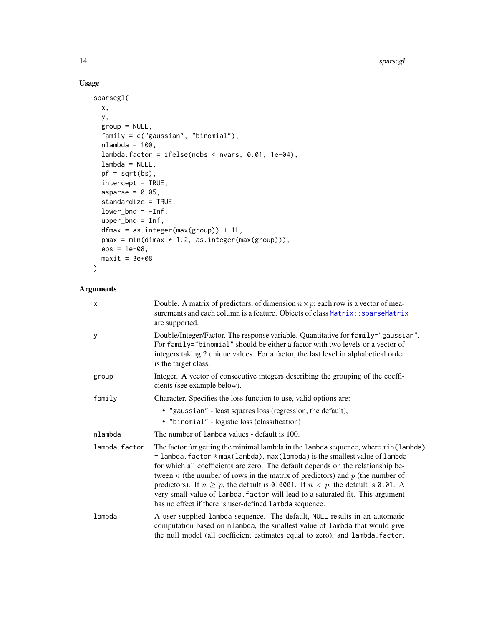# Usage

```
sparsegl(
 x,
 y,
  group = NULL,
 family = c("gaussian", "binomial"),
 nlambda = 100,
  lambda.factor = ifelse(nobs < nvars, 0.01, 1e-04),
  lambda = NULL,pf = sqrt(bs),
  intercept = TRUE,
  asparse = 0.05,
  standardize = TRUE,
  lower\_bnd = -Inf,upper_bnd = Inf,
  dfmax = as.integer(max(group)) + 1L,
 pmax = min(dfmax * 1.2, as.integer(max(group))),eps = 1e-08,
 maxit = 3e+08\mathcal{L}
```
# Arguments

| X             | Double. A matrix of predictors, of dimension $n \times p$ ; each row is a vector of mea-<br>surements and each column is a feature. Objects of class Matrix:: sparseMatrix<br>are supported.                                                                                                                                                                                                                                                                                                                                                                                              |
|---------------|-------------------------------------------------------------------------------------------------------------------------------------------------------------------------------------------------------------------------------------------------------------------------------------------------------------------------------------------------------------------------------------------------------------------------------------------------------------------------------------------------------------------------------------------------------------------------------------------|
| у             | Double/Integer/Factor. The response variable. Quantitative for family="gaussian".<br>For family="binomial" should be either a factor with two levels or a vector of<br>integers taking 2 unique values. For a factor, the last level in alphabetical order<br>is the target class.                                                                                                                                                                                                                                                                                                        |
| group         | Integer. A vector of consecutive integers describing the grouping of the coeffi-<br>cients (see example below).                                                                                                                                                                                                                                                                                                                                                                                                                                                                           |
| family        | Character. Specifies the loss function to use, valid options are:                                                                                                                                                                                                                                                                                                                                                                                                                                                                                                                         |
|               | • "gaussian" - least squares loss (regression, the default),                                                                                                                                                                                                                                                                                                                                                                                                                                                                                                                              |
|               | • "binomial" - logistic loss (classification)                                                                                                                                                                                                                                                                                                                                                                                                                                                                                                                                             |
| nlambda       | The number of lambda values - default is 100.                                                                                                                                                                                                                                                                                                                                                                                                                                                                                                                                             |
| lambda.factor | The factor for getting the minimal lambda in the lambda sequence, where min(lambda)<br>$=$ lambda. factor $*$ max (lambda). max (lambda) is the smallest value of lambda<br>for which all coefficients are zero. The default depends on the relationship be-<br>tween $n$ (the number of rows in the matrix of predictors) and $p$ (the number of<br>predictors). If $n \geq p$ , the default is 0.0001. If $n < p$ , the default is 0.01. A<br>very small value of lambda. factor will lead to a saturated fit. This argument<br>has no effect if there is user-defined lambda sequence. |
| lambda        | A user supplied lambda sequence. The default, NULL results in an automatic<br>computation based on nlambda, the smallest value of lambda that would give<br>the null model (all coefficient estimates equal to zero), and lambda. factor.                                                                                                                                                                                                                                                                                                                                                 |

<span id="page-13-0"></span>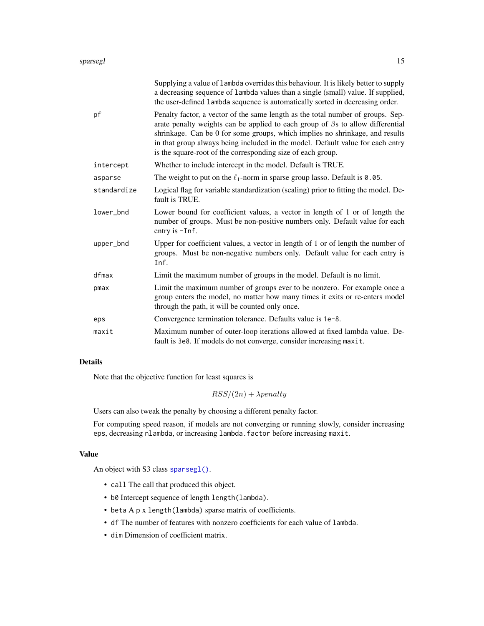<span id="page-14-0"></span>

|             | Supplying a value of lambda overrides this behaviour. It is likely better to supply<br>a decreasing sequence of lambda values than a single (small) value. If supplied,<br>the user-defined 1ambda sequence is automatically sorted in decreasing order.                                                                                                                                                  |
|-------------|-----------------------------------------------------------------------------------------------------------------------------------------------------------------------------------------------------------------------------------------------------------------------------------------------------------------------------------------------------------------------------------------------------------|
| pf          | Penalty factor, a vector of the same length as the total number of groups. Sep-<br>arate penalty weights can be applied to each group of $\beta$ s to allow differential<br>shrinkage. Can be 0 for some groups, which implies no shrinkage, and results<br>in that group always being included in the model. Default value for each entry<br>is the square-root of the corresponding size of each group. |
| intercept   | Whether to include intercept in the model. Default is TRUE.                                                                                                                                                                                                                                                                                                                                               |
| asparse     | The weight to put on the $\ell_1$ -norm in sparse group lasso. Default is 0.05.                                                                                                                                                                                                                                                                                                                           |
| standardize | Logical flag for variable standardization (scaling) prior to fitting the model. De-<br>fault is TRUE.                                                                                                                                                                                                                                                                                                     |
| lower_bnd   | Lower bound for coefficient values, a vector in length of 1 or of length the<br>number of groups. Must be non-positive numbers only. Default value for each<br>entry is -Inf.                                                                                                                                                                                                                             |
| upper_bnd   | Upper for coefficient values, a vector in length of 1 or of length the number of<br>groups. Must be non-negative numbers only. Default value for each entry is<br>Inf.                                                                                                                                                                                                                                    |
| dfmax       | Limit the maximum number of groups in the model. Default is no limit.                                                                                                                                                                                                                                                                                                                                     |
| pmax        | Limit the maximum number of groups ever to be nonzero. For example once a<br>group enters the model, no matter how many times it exits or re-enters model<br>through the path, it will be counted only once.                                                                                                                                                                                              |
| eps         | Convergence termination tolerance. Defaults value is 1e-8.                                                                                                                                                                                                                                                                                                                                                |
| maxit       | Maximum number of outer-loop iterations allowed at fixed lambda value. De-<br>fault is 3e8. If models do not converge, consider increasing maxit.                                                                                                                                                                                                                                                         |

# Details

Note that the objective function for least squares is

 $RSS/(2n) + \lambda penalty$ 

Users can also tweak the penalty by choosing a different penalty factor.

For computing speed reason, if models are not converging or running slowly, consider increasing eps, decreasing nlambda, or increasing lambda.factor before increasing maxit.

#### Value

An object with S3 class [sparsegl\(\)](#page-12-1).

- call The call that produced this object.
- b0 Intercept sequence of length length(lambda).
- beta A p x length(lambda) sparse matrix of coefficients.
- df The number of features with nonzero coefficients for each value of lambda.
- dim Dimension of coefficient matrix.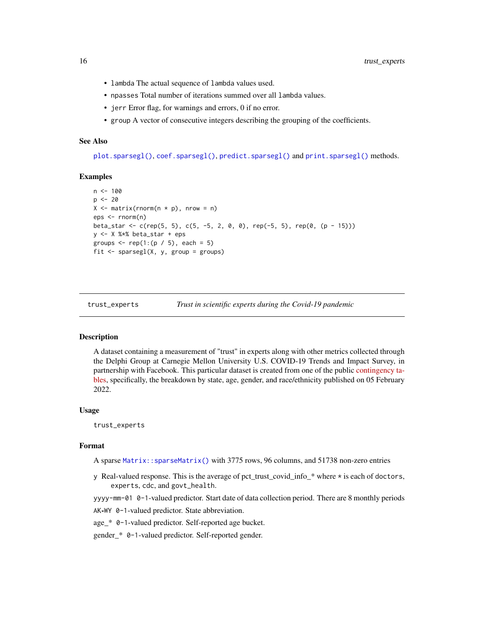- <span id="page-15-0"></span>• lambda The actual sequence of lambda values used.
- npasses Total number of iterations summed over all lambda values.
- jerr Error flag, for warnings and errors, 0 if no error.
- group A vector of consecutive integers describing the grouping of the coefficients.

### See Also

[plot.sparsegl\(\)](#page-8-1), [coef.sparsegl\(\)](#page-2-1), [predict.sparsegl\(\)](#page-10-1) and [print.sparsegl\(\)](#page-12-2) methods.

#### Examples

```
n < - 100p \le -20X \leq - matrix(rnorm(n * p), nrow = n)
eps <- rnorm(n)
beta_star <- c(rep(5, 5), c(5, -5, 2, 0, 0), rep(-5, 5), rep(0, (p - 15)))
y <- X %*% beta_star + eps
groups \leq rep(1:(p / 5), each = 5)
fit \leq sparsegl(X, y, group = groups)
```
trust\_experts *Trust in scientific experts during the Covid-19 pandemic*

#### Description

A dataset containing a measurement of "trust" in experts along with other metrics collected through the Delphi Group at Carnegie Mellon University U.S. COVID-19 Trends and Impact Survey, in partnership with Facebook. This particular dataset is created from one of the public [contingency ta](https://www.cmu.edu/delphi-web/surveys/monthly-rollup/)[bles,](https://www.cmu.edu/delphi-web/surveys/monthly-rollup/) specifically, the breakdown by state, age, gender, and race/ethnicity published on 05 February 2022.

#### Usage

trust\_experts

#### Format

A sparse [Matrix::sparseMatrix\(\)](#page-0-0) with 3775 rows, 96 columns, and 51738 non-zero entries

y Real-valued response. This is the average of pct\_trust\_covid\_info\_\* where \* is each of doctors, experts, cdc, and govt\_health.

yyyy-mm-01 0-1-valued predictor. Start date of data collection period. There are 8 monthly periods

AK-WY 0-1-valued predictor. State abbreviation.

age\_\* 0-1-valued predictor. Self-reported age bucket.

gender\_\* 0-1-valued predictor. Self-reported gender.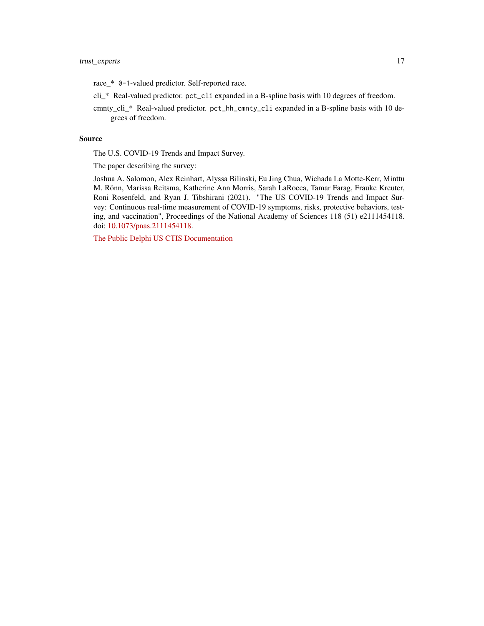race\_\* 0-1-valued predictor. Self-reported race.

- cli\_\* Real-valued predictor. pct\_cli expanded in a B-spline basis with 10 degrees of freedom.
- cmnty\_cli\_\* Real-valued predictor. pct\_hh\_cmnty\_cli expanded in a B-spline basis with 10 degrees of freedom.

## Source

The U.S. COVID-19 Trends and Impact Survey.

The paper describing the survey:

Joshua A. Salomon, Alex Reinhart, Alyssa Bilinski, Eu Jing Chua, Wichada La Motte-Kerr, Minttu M. Rönn, Marissa Reitsma, Katherine Ann Morris, Sarah LaRocca, Tamar Farag, Frauke Kreuter, Roni Rosenfeld, and Ryan J. Tibshirani (2021). "The US COVID-19 Trends and Impact Survey: Continuous real-time measurement of COVID-19 symptoms, risks, protective behaviors, testing, and vaccination", Proceedings of the National Academy of Sciences 118 (51) e2111454118. doi: [10.1073/pnas.2111454118.](https://doi.org/10.1073/pnas.2111454118)

[The Public Delphi US CTIS Documentation](https://cmu-delphi.github.io/delphi-epidata/symptom-survey/contingency-tables.html)